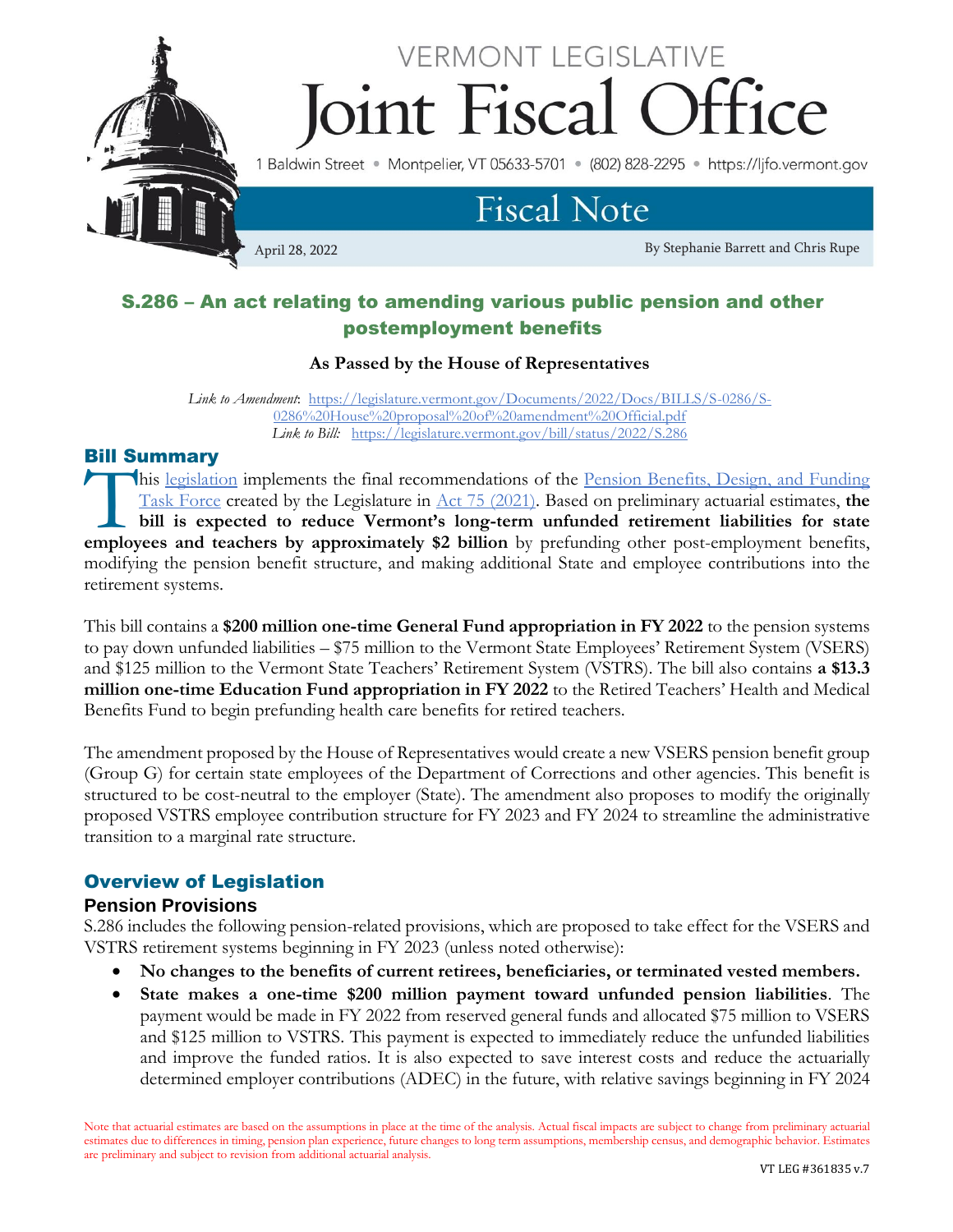

# S.286 – An act relating to amending various public pension and other postemployment benefits

#### **As Passed by the House of Representatives**

*Link to Amendment*: [https://legislature.vermont.gov/Documents/2022/Docs/BILLS/S-0286/S-](https://legislature.vermont.gov/Documents/2022/Docs/BILLS/S-0286/S-0286%20House%20proposal%20of%20amendment%20Official.pdf)[0286%20House%20proposal%20of%20amendment%20Official.pdf](https://legislature.vermont.gov/Documents/2022/Docs/BILLS/S-0286/S-0286%20House%20proposal%20of%20amendment%20Official.pdf) *Link to Bill:*<https://legislature.vermont.gov/bill/status/2022/S.286>

#### Bill Summary

his [legislation](https://legislature.vermont.gov/bill/status/2022/S.286) implements the final recommendations of the Pension Benefits, Design, and Funding [Task Force](https://legislature.vermont.gov/committee/detail/2022/367) created by the Legislature in [Act 75 \(2021\).](https://legislature.vermont.gov/Documents/2022/Docs/ACTS/ACT075/ACT075%20As%20Enacted.pdf) Based on preliminary actuarial estimates, **the bill is expected to reduce Vermont's long-term unfunded retirement liabilities for state**  his legislation implements the final recommendations of the <u>Pension Benefits, Design, and Funding</u><br>Task Force created by the Legislature in <u>Act 75 (2021</u>). Based on preliminary actuarial estimates, the<br>bill is expected t modifying the pension benefit structure, and making additional State and employee contributions into the retirement systems.

This bill contains a **\$200 million one-time General Fund appropriation in FY 2022** to the pension systems to pay down unfunded liabilities – \$75 million to the Vermont State Employees' Retirement System (VSERS) and \$125 million to the Vermont State Teachers' Retirement System (VSTRS). The bill also contains **a \$13.3 million one-time Education Fund appropriation in FY 2022** to the Retired Teachers' Health and Medical Benefits Fund to begin prefunding health care benefits for retired teachers.

The amendment proposed by the House of Representatives would create a new VSERS pension benefit group (Group G) for certain state employees of the Department of Corrections and other agencies. This benefit is structured to be cost-neutral to the employer (State). The amendment also proposes to modify the originally proposed VSTRS employee contribution structure for FY 2023 and FY 2024 to streamline the administrative transition to a marginal rate structure.

#### Overview of Legislation

#### **Pension Provisions**

S.286 includes the following pension-related provisions, which are proposed to take effect for the VSERS and VSTRS retirement systems beginning in FY 2023 (unless noted otherwise):

- **No changes to the benefits of current retirees, beneficiaries, or terminated vested members.**
- **State makes a one-time \$200 million payment toward unfunded pension liabilities**. The payment would be made in FY 2022 from reserved general funds and allocated \$75 million to VSERS and \$125 million to VSTRS. This payment is expected to immediately reduce the unfunded liabilities and improve the funded ratios. It is also expected to save interest costs and reduce the actuarially determined employer contributions (ADEC) in the future, with relative savings beginning in FY 2024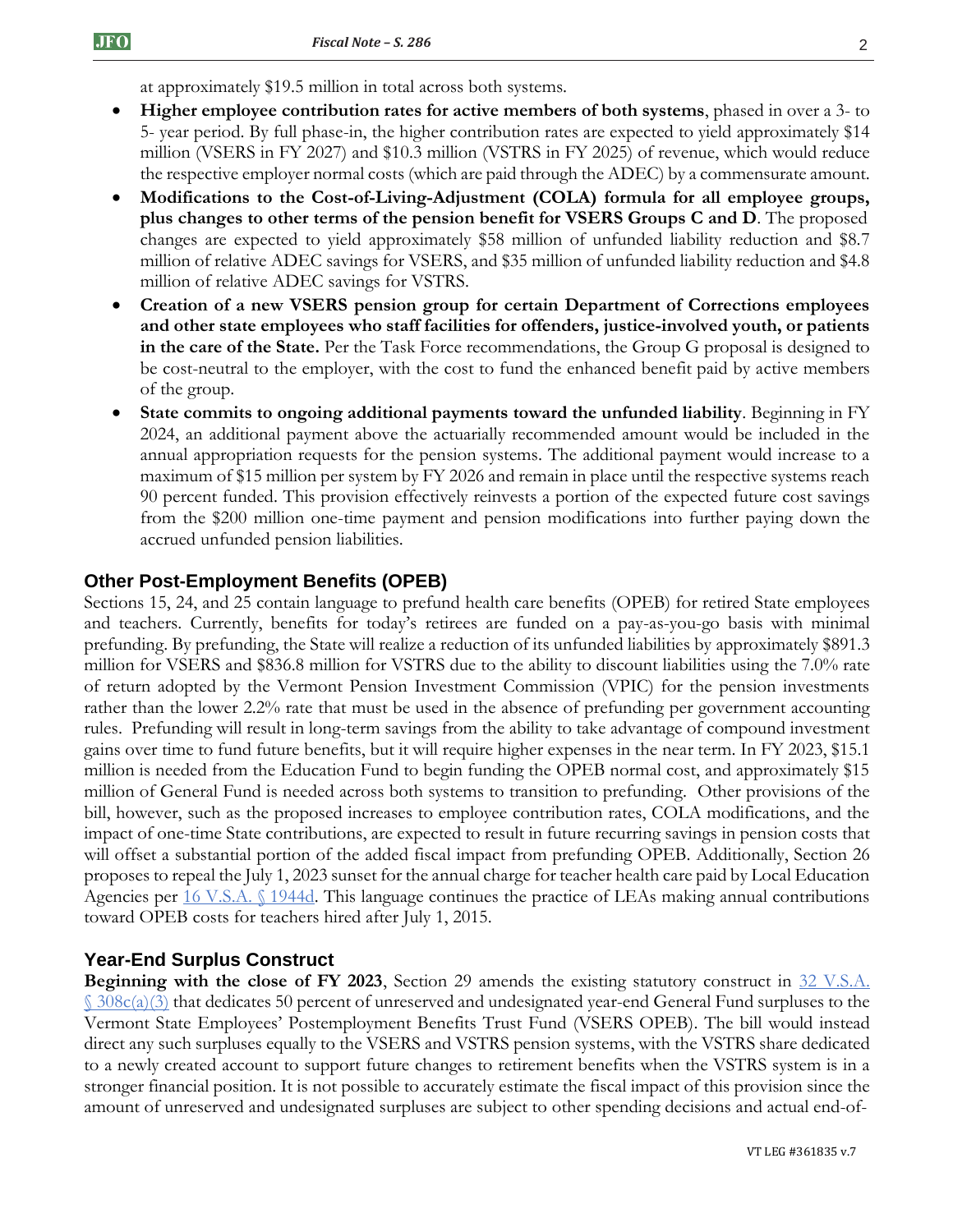at approximately \$19.5 million in total across both systems.

- **Higher employee contribution rates for active members of both systems**, phased in over a 3- to 5- year period. By full phase-in, the higher contribution rates are expected to yield approximately \$14 million (VSERS in FY 2027) and \$10.3 million (VSTRS in FY 2025) of revenue, which would reduce the respective employer normal costs (which are paid through the ADEC) by a commensurate amount.
- **Modifications to the Cost-of-Living-Adjustment (COLA) formula for all employee groups, plus changes to other terms of the pension benefit for VSERS Groups C and D**. The proposed changes are expected to yield approximately \$58 million of unfunded liability reduction and \$8.7 million of relative ADEC savings for VSERS, and \$35 million of unfunded liability reduction and \$4.8 million of relative ADEC savings for VSTRS.
- **Creation of a new VSERS pension group for certain Department of Corrections employees and other state employees who staff facilities for offenders, justice-involved youth, or patients in the care of the State.** Per the Task Force recommendations, the Group G proposal is designed to be cost-neutral to the employer, with the cost to fund the enhanced benefit paid by active members of the group.
- **State commits to ongoing additional payments toward the unfunded liability**. Beginning in FY 2024, an additional payment above the actuarially recommended amount would be included in the annual appropriation requests for the pension systems. The additional payment would increase to a maximum of \$15 million per system by FY 2026 and remain in place until the respective systems reach 90 percent funded. This provision effectively reinvests a portion of the expected future cost savings from the \$200 million one-time payment and pension modifications into further paying down the accrued unfunded pension liabilities.

#### **Other Post-Employment Benefits (OPEB)**

Sections 15, 24, and 25 contain language to prefund health care benefits (OPEB) for retired State employees and teachers. Currently, benefits for today's retirees are funded on a pay-as-you-go basis with minimal prefunding. By prefunding, the State will realize a reduction of its unfunded liabilities by approximately \$891.3 million for VSERS and \$836.8 million for VSTRS due to the ability to discount liabilities using the 7.0% rate of return adopted by the Vermont Pension Investment Commission (VPIC) for the pension investments rather than the lower 2.2% rate that must be used in the absence of prefunding per government accounting rules. Prefunding will result in long-term savings from the ability to take advantage of compound investment gains over time to fund future benefits, but it will require higher expenses in the near term. In FY 2023, \$15.1 million is needed from the Education Fund to begin funding the OPEB normal cost, and approximately \$15 million of General Fund is needed across both systems to transition to prefunding. Other provisions of the bill, however, such as the proposed increases to employee contribution rates, COLA modifications, and the impact of one-time State contributions, are expected to result in future recurring savings in pension costs that will offset a substantial portion of the added fiscal impact from prefunding OPEB. Additionally, Section 26 proposes to repeal the July 1, 2023 sunset for the annual charge for teacher health care paid by Local Education Agencies per [16 V.S.A. §](https://legislature.vermont.gov/statutes/section/16/055/01944d) 1944d. This language continues the practice of LEAs making annual contributions toward OPEB costs for teachers hired after July 1, 2015.

#### **Year-End Surplus Construct**

**Beginning with the close of FY 2023,** Section 29 amends the existing statutory construct in 32 V.S.A.  $\frac{\S 308c(a)(3)}{3}$  $\frac{\S 308c(a)(3)}{3}$  $\frac{\S 308c(a)(3)}{3}$  that dedicates 50 percent of unreserved and undesignated year-end General Fund surpluses to the Vermont State Employees' Postemployment Benefits Trust Fund (VSERS OPEB). The bill would instead direct any such surpluses equally to the VSERS and VSTRS pension systems, with the VSTRS share dedicated to a newly created account to support future changes to retirement benefits when the VSTRS system is in a stronger financial position. It is not possible to accurately estimate the fiscal impact of this provision since the amount of unreserved and undesignated surpluses are subject to other spending decisions and actual end-of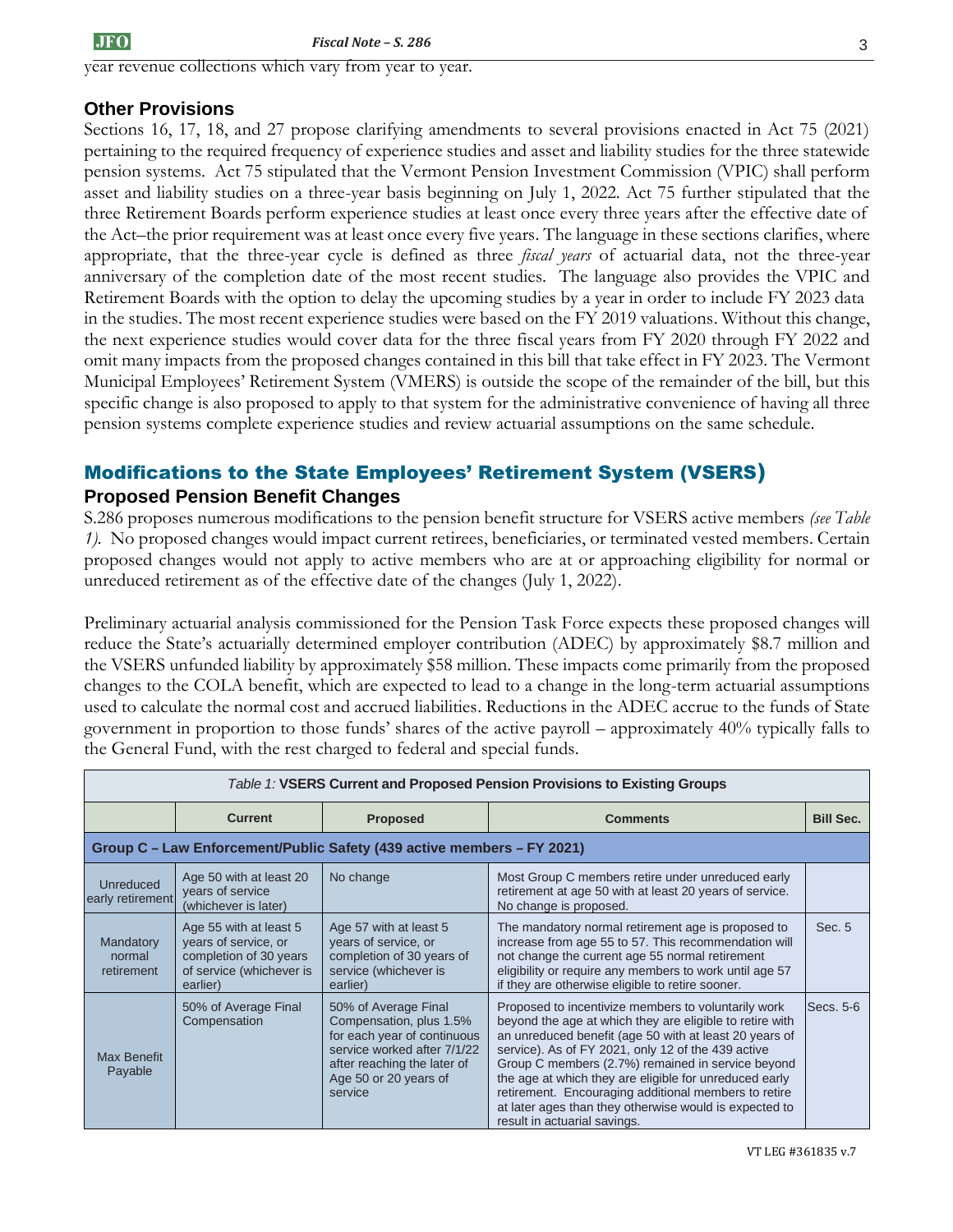year revenue collections which vary from year to year.

## **Other Provisions**

Sections 16, 17, 18, and 27 propose clarifying amendments to several provisions enacted in Act 75 (2021) pertaining to the required frequency of experience studies and asset and liability studies for the three statewide pension systems. Act 75 stipulated that the Vermont Pension Investment Commission (VPIC) shall perform asset and liability studies on a three-year basis beginning on July 1, 2022. Act 75 further stipulated that the three Retirement Boards perform experience studies at least once every three years after the effective date of the Act–the prior requirement was at least once every five years. The language in these sections clarifies, where appropriate, that the three-year cycle is defined as three *fiscal years* of actuarial data, not the three-year anniversary of the completion date of the most recent studies. The language also provides the VPIC and Retirement Boards with the option to delay the upcoming studies by a year in order to include FY 2023 data in the studies. The most recent experience studies were based on the FY 2019 valuations. Without this change, the next experience studies would cover data for the three fiscal years from FY 2020 through FY 2022 and omit many impacts from the proposed changes contained in this bill that take effect in FY 2023. The Vermont Municipal Employees' Retirement System (VMERS) is outside the scope of the remainder of the bill, but this specific change is also proposed to apply to that system for the administrative convenience of having all three pension systems complete experience studies and review actuarial assumptions on the same schedule.

## Modifications to the State Employees' Retirement System (VSERS) **Proposed Pension Benefit Changes**

S.286 proposes numerous modifications to the pension benefit structure for VSERS active members *(see Table 1).* No proposed changes would impact current retirees, beneficiaries, or terminated vested members. Certain proposed changes would not apply to active members who are at or approaching eligibility for normal or unreduced retirement as of the effective date of the changes (July 1, 2022).

Preliminary actuarial analysis commissioned for the Pension Task Force expects these proposed changes will reduce the State's actuarially determined employer contribution (ADEC) by approximately \$8.7 million and the VSERS unfunded liability by approximately \$58 million. These impacts come primarily from the proposed changes to the COLA benefit, which are expected to lead to a change in the long-term actuarial assumptions used to calculate the normal cost and accrued liabilities. Reductions in the ADEC accrue to the funds of State government in proportion to those funds' shares of the active payroll – approximately 40% typically falls to the General Fund, with the rest charged to federal and special funds.

| Table 1: VSERS Current and Proposed Pension Provisions to Existing Groups |                                                                                                                  |                                                                                                                                                                                  |                                                                                                                                                                                                                                                                                                                                                                                                                                                                                                  |                  |  |
|---------------------------------------------------------------------------|------------------------------------------------------------------------------------------------------------------|----------------------------------------------------------------------------------------------------------------------------------------------------------------------------------|--------------------------------------------------------------------------------------------------------------------------------------------------------------------------------------------------------------------------------------------------------------------------------------------------------------------------------------------------------------------------------------------------------------------------------------------------------------------------------------------------|------------------|--|
|                                                                           | <b>Current</b>                                                                                                   | <b>Proposed</b><br><b>Comments</b>                                                                                                                                               |                                                                                                                                                                                                                                                                                                                                                                                                                                                                                                  | <b>Bill Sec.</b> |  |
| Group C - Law Enforcement/Public Safety (439 active members - FY 2021)    |                                                                                                                  |                                                                                                                                                                                  |                                                                                                                                                                                                                                                                                                                                                                                                                                                                                                  |                  |  |
| Unreduced<br>early retirement                                             | Age 50 with at least 20<br>years of service<br>(whichever is later)                                              | No change                                                                                                                                                                        | Most Group C members retire under unreduced early<br>retirement at age 50 with at least 20 years of service.<br>No change is proposed.                                                                                                                                                                                                                                                                                                                                                           |                  |  |
| Mandatory<br>normal<br>retirement                                         | Age 55 with at least 5<br>years of service, or<br>completion of 30 years<br>of service (whichever is<br>earlier) | Age 57 with at least 5<br>years of service, or<br>completion of 30 years of<br>service (whichever is<br>earlier)                                                                 | The mandatory normal retirement age is proposed to<br>increase from age 55 to 57. This recommendation will<br>not change the current age 55 normal retirement<br>eligibility or require any members to work until age 57<br>if they are otherwise eligible to retire sooner.                                                                                                                                                                                                                     | Sec. 5           |  |
| <b>Max Benefit</b><br>Payable                                             | 50% of Average Final<br>Compensation                                                                             | 50% of Average Final<br>Compensation, plus 1.5%<br>for each year of continuous<br>service worked after 7/1/22<br>after reaching the later of<br>Age 50 or 20 years of<br>service | Proposed to incentivize members to voluntarily work<br>beyond the age at which they are eligible to retire with<br>an unreduced benefit (age 50 with at least 20 years of<br>service). As of FY 2021, only 12 of the 439 active<br>Group C members (2.7%) remained in service beyond<br>the age at which they are eligible for unreduced early<br>retirement. Encouraging additional members to retire<br>at later ages than they otherwise would is expected to<br>result in actuarial savings. | Secs. 5-6        |  |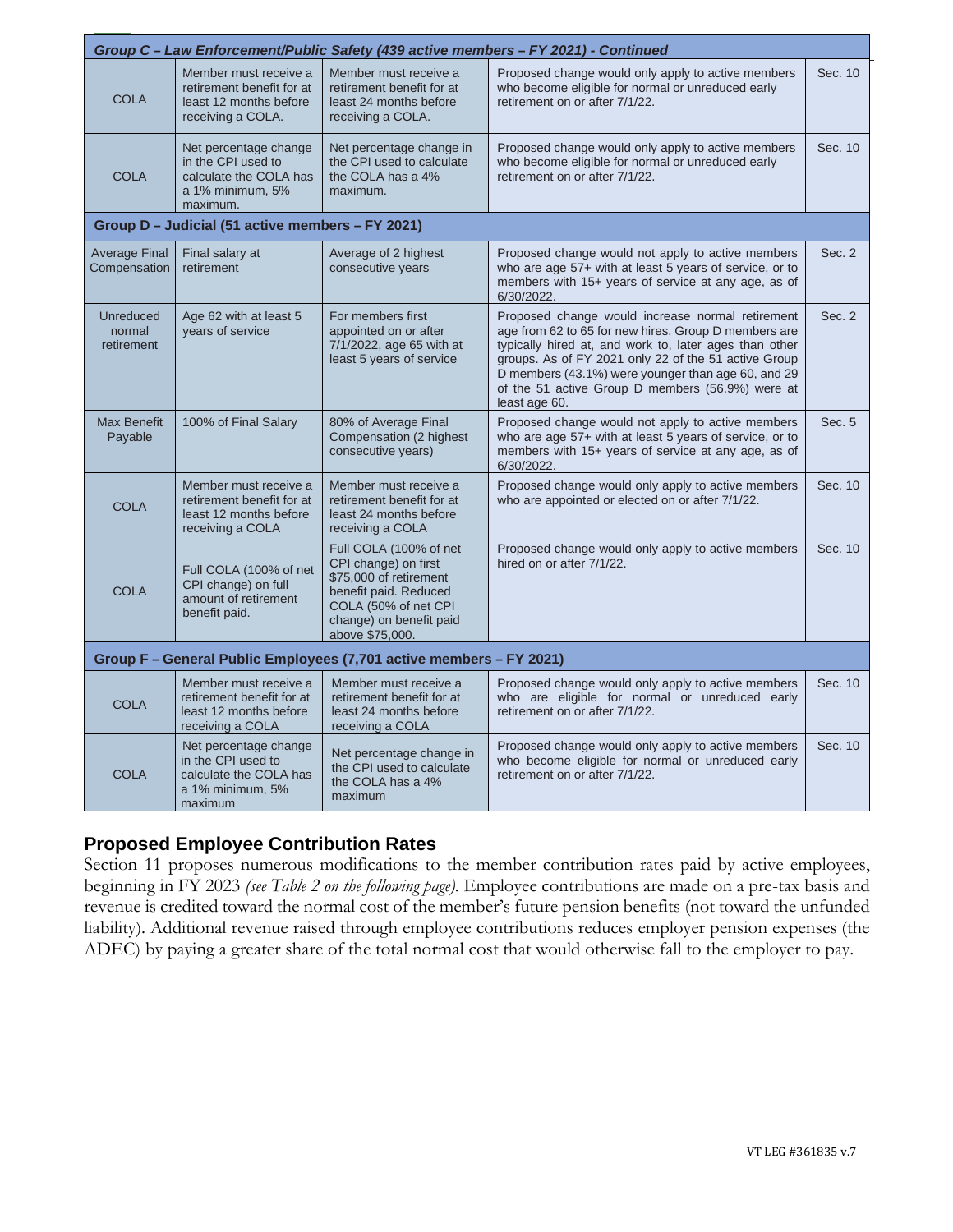| Group C - Law Enforcement/Public Safety (439 active members - FY 2021) - Continued |                                                                                                       |                                                                                                                                                                         |                                                                                                                                                                                                                                                                                                                                                       |         |  |  |
|------------------------------------------------------------------------------------|-------------------------------------------------------------------------------------------------------|-------------------------------------------------------------------------------------------------------------------------------------------------------------------------|-------------------------------------------------------------------------------------------------------------------------------------------------------------------------------------------------------------------------------------------------------------------------------------------------------------------------------------------------------|---------|--|--|
| <b>COLA</b>                                                                        | Member must receive a<br>retirement benefit for at<br>least 12 months before<br>receiving a COLA.     | Member must receive a<br>retirement benefit for at<br>least 24 months before<br>receiving a COLA.                                                                       | Proposed change would only apply to active members<br>who become eligible for normal or unreduced early<br>retirement on or after 7/1/22.                                                                                                                                                                                                             | Sec. 10 |  |  |
| <b>COLA</b>                                                                        | Net percentage change<br>in the CPI used to<br>calculate the COLA has<br>a 1% minimum, 5%<br>maximum. | Net percentage change in<br>the CPI used to calculate<br>the COLA has a 4%<br>maximum.                                                                                  | Proposed change would only apply to active members<br>who become eligible for normal or unreduced early<br>retirement on or after 7/1/22.                                                                                                                                                                                                             | Sec. 10 |  |  |
| Group D - Judicial (51 active members - FY 2021)                                   |                                                                                                       |                                                                                                                                                                         |                                                                                                                                                                                                                                                                                                                                                       |         |  |  |
| <b>Average Final</b><br>Compensation                                               | Final salary at<br>retirement                                                                         | Average of 2 highest<br>consecutive years                                                                                                                               | Proposed change would not apply to active members<br>who are age 57+ with at least 5 years of service, or to<br>members with 15+ years of service at any age, as of<br>6/30/2022.                                                                                                                                                                     | Sec. 2  |  |  |
| <b>Unreduced</b><br>normal<br>retirement                                           | Age 62 with at least 5<br>years of service                                                            | For members first<br>appointed on or after<br>7/1/2022, age 65 with at<br>least 5 years of service                                                                      | Proposed change would increase normal retirement<br>age from 62 to 65 for new hires. Group D members are<br>typically hired at, and work to, later ages than other<br>groups. As of FY 2021 only 22 of the 51 active Group<br>D members (43.1%) were younger than age 60, and 29<br>of the 51 active Group D members (56.9%) were at<br>least age 60. | Sec. 2  |  |  |
| <b>Max Benefit</b><br>Payable                                                      | 100% of Final Salary                                                                                  | 80% of Average Final<br>Compensation (2 highest<br>consecutive years)                                                                                                   | Proposed change would not apply to active members<br>who are age 57+ with at least 5 years of service, or to<br>members with 15+ years of service at any age, as of<br>6/30/2022.                                                                                                                                                                     | Sec. 5  |  |  |
| <b>COLA</b>                                                                        | Member must receive a<br>retirement benefit for at<br>least 12 months before<br>receiving a COLA      | Member must receive a<br>retirement benefit for at<br>least 24 months before<br>receiving a COLA                                                                        | Proposed change would only apply to active members<br>who are appointed or elected on or after 7/1/22.                                                                                                                                                                                                                                                | Sec. 10 |  |  |
| <b>COLA</b>                                                                        | Full COLA (100% of net<br>CPI change) on full<br>amount of retirement<br>benefit paid.                | Full COLA (100% of net<br>CPI change) on first<br>\$75,000 of retirement<br>benefit paid. Reduced<br>COLA (50% of net CPI<br>change) on benefit paid<br>above \$75,000. | Proposed change would only apply to active members<br>hired on or after 7/1/22.                                                                                                                                                                                                                                                                       | Sec. 10 |  |  |
| Group F - General Public Employees (7,701 active members - FY 2021)                |                                                                                                       |                                                                                                                                                                         |                                                                                                                                                                                                                                                                                                                                                       |         |  |  |
| <b>COLA</b>                                                                        | Member must receive a<br>retirement benefit for at<br>least 12 months before<br>receiving a COLA      | Member must receive a<br>retirement benefit for at<br>least 24 months before<br>receiving a COLA                                                                        | Proposed change would only apply to active members<br>who are eligible for normal or unreduced early<br>retirement on or after 7/1/22.                                                                                                                                                                                                                | Sec. 10 |  |  |
| <b>COLA</b>                                                                        | Net percentage change<br>in the CPI used to<br>calculate the COLA has<br>a 1% minimum, 5%<br>maximum  | Net percentage change in<br>the CPI used to calculate<br>the COLA has a 4%<br>maximum                                                                                   | Proposed change would only apply to active members<br>who become eligible for normal or unreduced early<br>retirement on or after 7/1/22.                                                                                                                                                                                                             | Sec. 10 |  |  |

# **Proposed Employee Contribution Rates**

Section 11 proposes numerous modifications to the member contribution rates paid by active employees, beginning in FY 2023 *(see Table 2 on the following page).* Employee contributions are made on a pre-tax basis and revenue is credited toward the normal cost of the member's future pension benefits (not toward the unfunded liability). Additional revenue raised through employee contributions reduces employer pension expenses (the ADEC) by paying a greater share of the total normal cost that would otherwise fall to the employer to pay.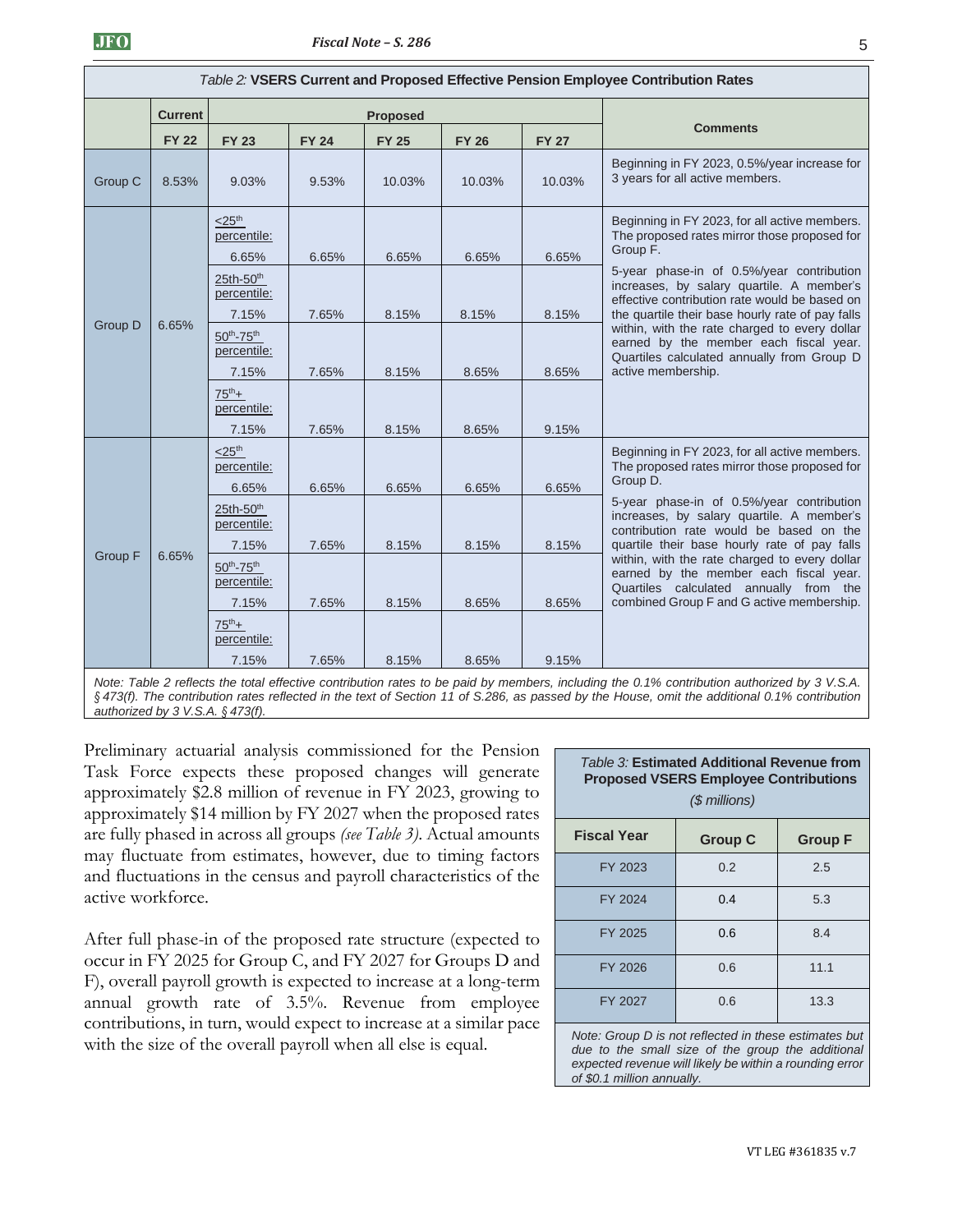| Table 2: VSERS Current and Proposed Effective Pension Employee Contribution Rates |                |                                                     |              |                 |              |              |                                                                                                                                                                                             |  |
|-----------------------------------------------------------------------------------|----------------|-----------------------------------------------------|--------------|-----------------|--------------|--------------|---------------------------------------------------------------------------------------------------------------------------------------------------------------------------------------------|--|
|                                                                                   | <b>Current</b> |                                                     |              | <b>Proposed</b> |              |              |                                                                                                                                                                                             |  |
|                                                                                   | <b>FY 22</b>   | <b>FY 23</b>                                        | <b>FY 24</b> | <b>FY 25</b>    | <b>FY 26</b> | <b>FY 27</b> | <b>Comments</b>                                                                                                                                                                             |  |
| Group C                                                                           | 8.53%          | 9.03%                                               | 9.53%        | 10.03%          | 10.03%       | 10.03%       | Beginning in FY 2023, 0.5%/year increase for<br>3 years for all active members.                                                                                                             |  |
|                                                                                   |                | $<$ 25 <sup>th</sup><br>percentile:<br>6.65%        | 6.65%        | 6.65%           | 6.65%        | 6.65%        | Beginning in FY 2023, for all active members.<br>The proposed rates mirror those proposed for<br>Group F.                                                                                   |  |
| <b>Group D</b><br>6.65%                                                           |                | 25th-50 <sup>th</sup><br>percentile:<br>7.15%       | 7.65%        | 8.15%           | 8.15%        | 8.15%        | 5-year phase-in of 0.5%/year contribution<br>increases, by salary quartile. A member's<br>effective contribution rate would be based on<br>the quartile their base hourly rate of pay falls |  |
|                                                                                   |                | $50^{th}$ -75 <sup>th</sup><br>percentile:<br>7.15% | 7.65%        | 8.15%           | 8.65%        | 8.65%        | within, with the rate charged to every dollar<br>earned by the member each fiscal year.<br>Quartiles calculated annually from Group D<br>active membership.                                 |  |
|                                                                                   |                | $75^{th}+$<br>percentile:<br>7.15%                  | 7.65%        | 8.15%           | 8.65%        | 9.15%        |                                                                                                                                                                                             |  |
|                                                                                   |                | $<$ 25 <sup>th</sup><br>percentile:<br>6.65%        | 6.65%        | 6.65%           | 6.65%        | 6.65%        | Beginning in FY 2023, for all active members.<br>The proposed rates mirror those proposed for<br>Group D.                                                                                   |  |
| Group F<br>6.65%                                                                  |                | 25th-50 <sup>th</sup><br>percentile:<br>7.15%       | 7.65%        | 8.15%           | 8.15%        | 8.15%        | 5-year phase-in of 0.5%/year contribution<br>increases, by salary quartile. A member's<br>contribution rate would be based on the<br>quartile their base hourly rate of pay falls           |  |
|                                                                                   |                | $50^{th}$ -75 <sup>th</sup><br>percentile:<br>7.15% | 7.65%        | 8.15%           | 8.65%        | 8.65%        | within, with the rate charged to every dollar<br>earned by the member each fiscal year.<br>Quartiles calculated annually from the<br>combined Group F and G active membership.              |  |
|                                                                                   |                | $75^{th}+$<br>percentile:                           |              |                 |              |              |                                                                                                                                                                                             |  |
|                                                                                   |                | 7.15%                                               | 7.65%        | 8.15%           | 8.65%        | 9.15%        |                                                                                                                                                                                             |  |

*Note: Table 2 reflects the total effective contribution rates to be paid by members, including the 0.1% contribution authorized by 3 V.S.A. § 473(f). The contribution rates reflected in the text of Section 11 of S.286, as passed by the House, omit the additional 0.1% contribution authorized by 3 V.S.A. § 473(f).*

Preliminary actuarial analysis commissioned for the Pension Task Force expects these proposed changes will generate approximately \$2.8 million of revenue in FY 2023, growing to approximately \$14 million by FY 2027 when the proposed rates are fully phased in across all groups *(see Table 3)*. Actual amounts may fluctuate from estimates, however, due to timing factors and fluctuations in the census and payroll characteristics of the active workforce.

After full phase-in of the proposed rate structure (expected to occur in FY 2025 for Group C, and FY 2027 for Groups D and F), overall payroll growth is expected to increase at a long-term annual growth rate of 3.5%. Revenue from employee contributions, in turn, would expect to increase at a similar pace with the size of the overall payroll when all else is equal.

| Table 3: Estimated Additional Revenue from<br><b>Proposed VSERS Employee Contributions</b><br>(\$ millions) |     |      |  |  |  |
|-------------------------------------------------------------------------------------------------------------|-----|------|--|--|--|
| <b>Fiscal Year</b><br><b>Group C</b><br><b>Group F</b>                                                      |     |      |  |  |  |
| FY 2023                                                                                                     | 0.2 | 2.5  |  |  |  |
| FY 2024                                                                                                     | 0.4 | 5.3  |  |  |  |
| FY 2025                                                                                                     | 0.6 | 8.4  |  |  |  |
| FY 2026                                                                                                     | 0.6 | 11.1 |  |  |  |
| FY 2027                                                                                                     | 0.6 | 13.3 |  |  |  |

*Note: Group D is not reflected in these estimates but due to the small size of the group the additional expected revenue will likely be within a rounding error of \$0.1 million annually.*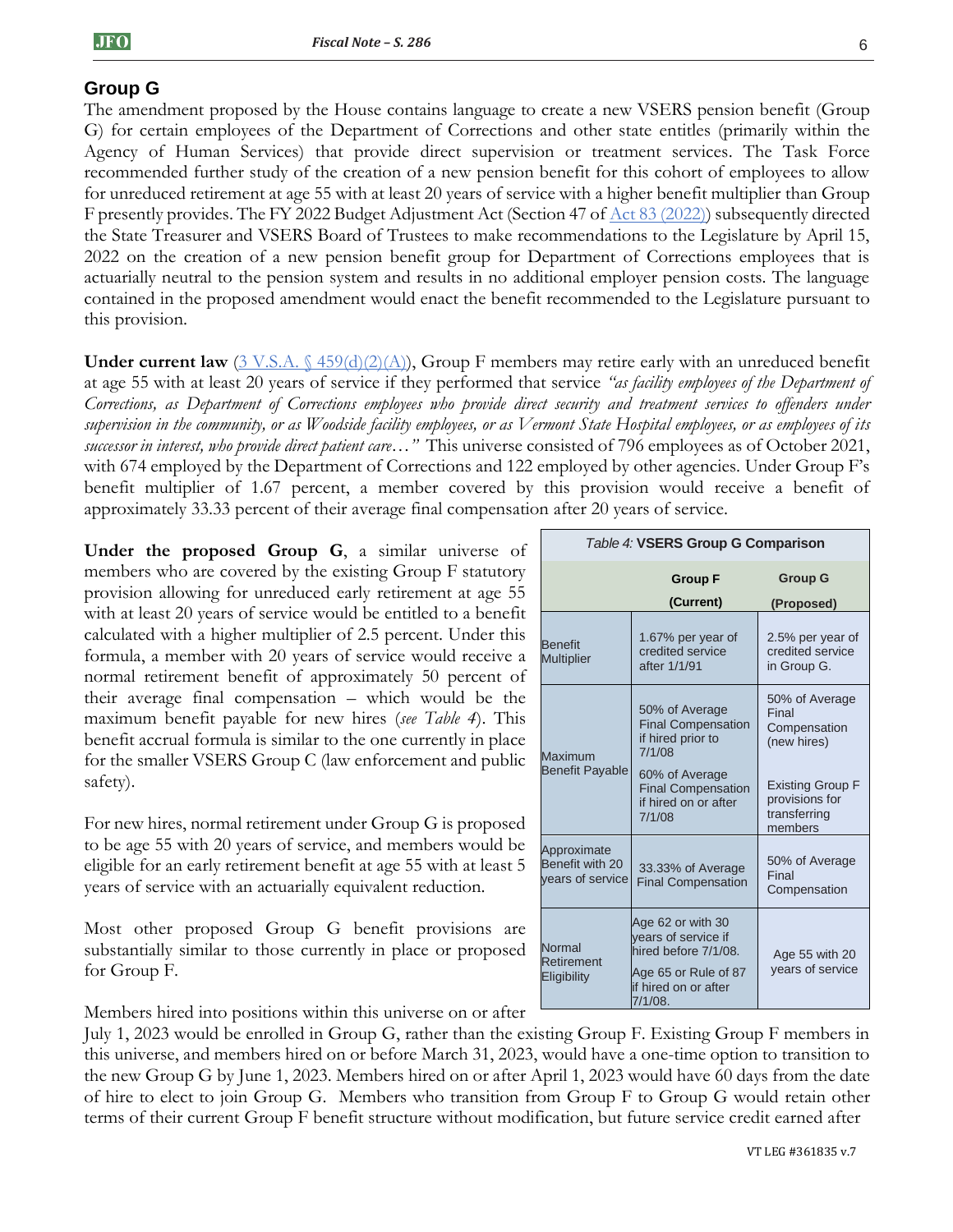# **Group G**

The amendment proposed by the House contains language to create a new VSERS pension benefit (Group G) for certain employees of the Department of Corrections and other state entitles (primarily within the Agency of Human Services) that provide direct supervision or treatment services. The Task Force recommended further study of the creation of a new pension benefit for this cohort of employees to allow for unreduced retirement at age 55 with at least 20 years of service with a higher benefit multiplier than Group F presently provides. The FY 2022 Budget Adjustment Act (Section 47 of [Act 83 \(2022\)\)](https://legislature.vermont.gov/Documents/2022/Docs/ACTS/ACT083/ACT083%20As%20Enacted.pdf) subsequently directed the State Treasurer and VSERS Board of Trustees to make recommendations to the Legislature by April 15, 2022 on the creation of a new pension benefit group for Department of Corrections employees that is actuarially neutral to the pension system and results in no additional employer pension costs. The language contained in the proposed amendment would enact the benefit recommended to the Legislature pursuant to this provision.

**Under current law**  $(3 \text{ V.S.A. } \{459(d)(2)(\text{A})),$  Group F members may retire early with an unreduced benefit at age 55 with at least 20 years of service if they performed that service *"as facility employees of the Department of Corrections, as Department of Corrections employees who provide direct security and treatment services to offenders under supervision in the community, or as Woodside facility employees, or as Vermont State Hospital employees, or as employees of its successor in interest, who provide direct patient care…"* This universe consisted of 796 employees as of October 2021, with 674 employed by the Department of Corrections and 122 employed by other agencies. Under Group F's benefit multiplier of 1.67 percent, a member covered by this provision would receive a benefit of approximately 33.33 percent of their average final compensation after 20 years of service.

**Under the proposed Group G**, a similar universe of members who are covered by the existing Group F statutory provision allowing for unreduced early retirement at age 55 with at least 20 years of service would be entitled to a benefit calculated with a higher multiplier of 2.5 percent. Under this formula, a member with 20 years of service would receive a normal retirement benefit of approximately 50 percent of their average final compensation – which would be the maximum benefit payable for new hires (*see Table 4*). This benefit accrual formula is similar to the one currently in place for the smaller VSERS Group C (law enforcement and public safety).

For new hires, normal retirement under Group G is proposed to be age 55 with 20 years of service, and members would be eligible for an early retirement benefit at age 55 with at least 5 years of service with an actuarially equivalent reduction.

Most other proposed Group G benefit provisions are substantially similar to those currently in place or proposed for Group F.

Members hired into positions within this universe on or after

July 1, 2023 would be enrolled in Group G, rather than the existing Group F. Existing Group F members in this universe, and members hired on or before March 31, 2023, would have a one-time option to transition to the new Group G by June 1, 2023. Members hired on or after April 1, 2023 would have 60 days from the date of hire to elect to join Group G. Members who transition from Group F to Group G would retain other terms of their current Group F benefit structure without modification, but future service credit earned after

| Table 4: VSERS Group G Comparison                  |                                                                                                                             |                                                                      |  |  |  |
|----------------------------------------------------|-----------------------------------------------------------------------------------------------------------------------------|----------------------------------------------------------------------|--|--|--|
|                                                    | <b>Group F</b><br>(Current)                                                                                                 | <b>Group G</b><br>(Proposed)                                         |  |  |  |
| <b>Benefit</b><br><b>Multiplier</b>                | 1.67% per year of<br>credited service<br>after 1/1/91                                                                       | 2.5% per year of<br>credited service<br>in Group G.                  |  |  |  |
| Maximum                                            | 50% of Average<br><b>Final Compensation</b><br>if hired prior to<br>7/1/08                                                  | 50% of Average<br>Final<br>Compensation<br>(new hires)               |  |  |  |
| <b>Benefit Payable</b>                             | 60% of Average<br><b>Final Compensation</b><br>if hired on or after<br>7/1/08                                               | <b>Existing Group F</b><br>provisions for<br>transferring<br>members |  |  |  |
| Approximate<br>Benefit with 20<br>vears of service | 33.33% of Average<br><b>Final Compensation</b>                                                                              | 50% of Average<br>Final<br>Compensation                              |  |  |  |
| Normal<br>Retirement<br>Eligibility                | Age 62 or with 30<br>years of service if<br>hired before 7/1/08.<br>Age 65 or Rule of 87<br>if hired on or after<br>7/1/08. | Age 55 with 20<br>years of service                                   |  |  |  |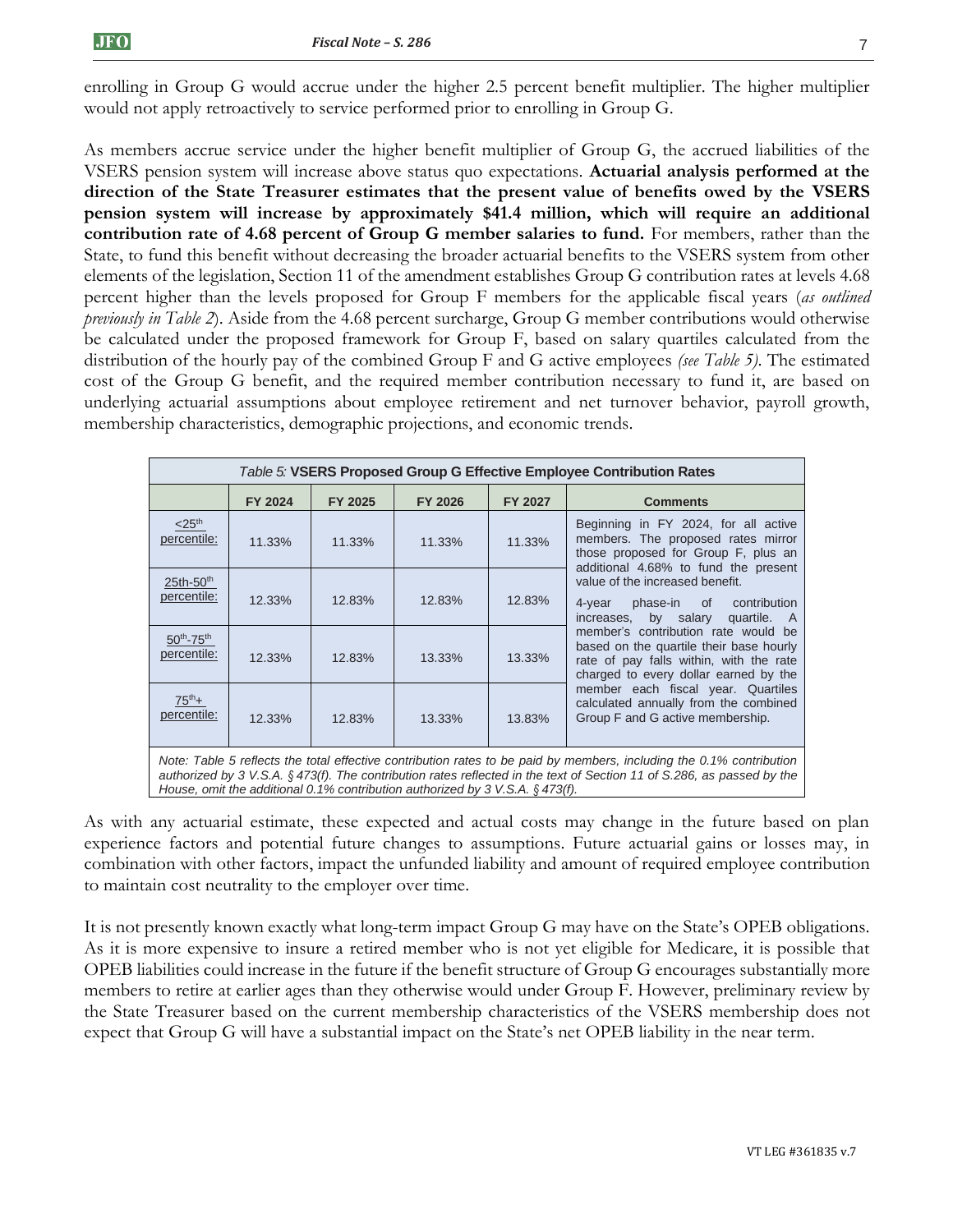enrolling in Group G would accrue under the higher 2.5 percent benefit multiplier. The higher multiplier would not apply retroactively to service performed prior to enrolling in Group G.

As members accrue service under the higher benefit multiplier of Group G, the accrued liabilities of the VSERS pension system will increase above status quo expectations. **Actuarial analysis performed at the direction of the State Treasurer estimates that the present value of benefits owed by the VSERS pension system will increase by approximately \$41.4 million, which will require an additional contribution rate of 4.68 percent of Group G member salaries to fund.** For members, rather than the State, to fund this benefit without decreasing the broader actuarial benefits to the VSERS system from other elements of the legislation, Section 11 of the amendment establishes Group G contribution rates at levels 4.68 percent higher than the levels proposed for Group F members for the applicable fiscal years (*as outlined previously in Table 2*). Aside from the 4.68 percent surcharge, Group G member contributions would otherwise be calculated under the proposed framework for Group F, based on salary quartiles calculated from the distribution of the hourly pay of the combined Group F and G active employees *(see Table 5)*. The estimated cost of the Group G benefit, and the required member contribution necessary to fund it, are based on underlying actuarial assumptions about employee retirement and net turnover behavior, payroll growth, membership characteristics, demographic projections, and economic trends.

| Table 5: VSERS Proposed Group G Effective Employee Contribution Rates                                                                                                                                                                                                                                                              |                                                                                                                                                         |         |         |         |                                                                                                                                                                    |  |  |  |
|------------------------------------------------------------------------------------------------------------------------------------------------------------------------------------------------------------------------------------------------------------------------------------------------------------------------------------|---------------------------------------------------------------------------------------------------------------------------------------------------------|---------|---------|---------|--------------------------------------------------------------------------------------------------------------------------------------------------------------------|--|--|--|
|                                                                                                                                                                                                                                                                                                                                    | <b>FY 2024</b>                                                                                                                                          | FY 2025 | FY 2026 | FY 2027 | <b>Comments</b>                                                                                                                                                    |  |  |  |
| $<$ 25 <sup>th</sup><br>percentile:                                                                                                                                                                                                                                                                                                | 11.33%                                                                                                                                                  | 11.33%  | 11.33%  | 11.33%  | Beginning in FY 2024, for all active<br>members. The proposed rates mirror<br>those proposed for Group F, plus an                                                  |  |  |  |
| $25th-50th$<br>percentile:                                                                                                                                                                                                                                                                                                         | 12.33%                                                                                                                                                  | 12.83%  | 12.83%  | 12.83%  | additional 4.68% to fund the present<br>value of the increased benefit.<br>4-year phase-in of<br>contribution<br>increases, by salary<br>quartile. A               |  |  |  |
| $50^{th}$ -75 <sup>th</sup><br>percentile:                                                                                                                                                                                                                                                                                         | 12.33%                                                                                                                                                  | 12.83%  | 13.33%  | 13.33%  | member's contribution rate would be<br>based on the quartile their base hourly<br>rate of pay falls within, with the rate<br>charged to every dollar earned by the |  |  |  |
| $75^{th}+$<br>percentile:                                                                                                                                                                                                                                                                                                          | member each fiscal year. Quartiles<br>calculated annually from the combined<br>Group F and G active membership.<br>13.83%<br>12.33%<br>13.33%<br>12.83% |         |         |         |                                                                                                                                                                    |  |  |  |
| Note: Table 5 reflects the total effective contribution rates to be paid by members, including the 0.1% contribution<br>authorized by 3 V.S.A. § 473(f). The contribution rates reflected in the text of Section 11 of S.286, as passed by the<br>House, omit the additional 0.1% contribution authorized by 3 V.S.A. $\S$ 473(f). |                                                                                                                                                         |         |         |         |                                                                                                                                                                    |  |  |  |

As with any actuarial estimate, these expected and actual costs may change in the future based on plan experience factors and potential future changes to assumptions. Future actuarial gains or losses may, in combination with other factors, impact the unfunded liability and amount of required employee contribution to maintain cost neutrality to the employer over time.

It is not presently known exactly what long-term impact Group G may have on the State's OPEB obligations. As it is more expensive to insure a retired member who is not yet eligible for Medicare, it is possible that OPEB liabilities could increase in the future if the benefit structure of Group G encourages substantially more members to retire at earlier ages than they otherwise would under Group F. However, preliminary review by the State Treasurer based on the current membership characteristics of the VSERS membership does not expect that Group G will have a substantial impact on the State's net OPEB liability in the near term.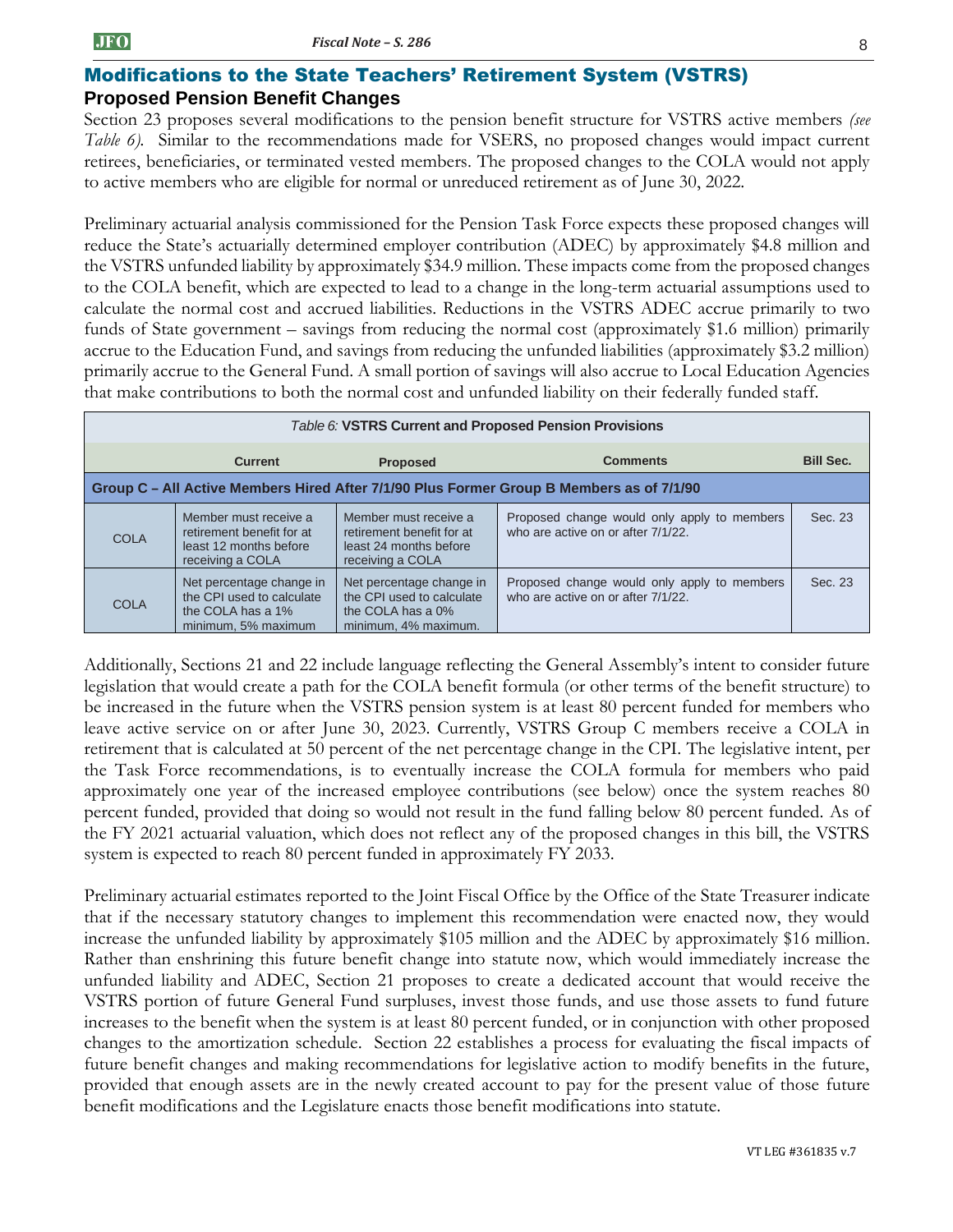#### Modifications to the State Teachers' Retirement System (VSTRS) **Proposed Pension Benefit Changes**

Section 23 proposes several modifications to the pension benefit structure for VSTRS active members *(see Table 6).* Similar to the recommendations made for VSERS, no proposed changes would impact current retirees, beneficiaries, or terminated vested members. The proposed changes to the COLA would not apply to active members who are eligible for normal or unreduced retirement as of June 30, 2022.

Preliminary actuarial analysis commissioned for the Pension Task Force expects these proposed changes will reduce the State's actuarially determined employer contribution (ADEC) by approximately \$4.8 million and the VSTRS unfunded liability by approximately \$34.9 million. These impacts come from the proposed changes to the COLA benefit, which are expected to lead to a change in the long-term actuarial assumptions used to calculate the normal cost and accrued liabilities. Reductions in the VSTRS ADEC accrue primarily to two funds of State government – savings from reducing the normal cost (approximately \$1.6 million) primarily accrue to the Education Fund, and savings from reducing the unfunded liabilities (approximately \$3.2 million) primarily accrue to the General Fund. A small portion of savings will also accrue to Local Education Agencies that make contributions to both the normal cost and unfunded liability on their federally funded staff.

| Table 6: VSTRS Current and Proposed Pension Provisions                                   |                                                                                                   |                                                                                                    |                                                                                   |                  |  |
|------------------------------------------------------------------------------------------|---------------------------------------------------------------------------------------------------|----------------------------------------------------------------------------------------------------|-----------------------------------------------------------------------------------|------------------|--|
|                                                                                          | <b>Current</b>                                                                                    | <b>Proposed</b>                                                                                    | <b>Comments</b>                                                                   | <b>Bill Sec.</b> |  |
| Group C – All Active Members Hired After 7/1/90 Plus Former Group B Members as of 7/1/90 |                                                                                                   |                                                                                                    |                                                                                   |                  |  |
| <b>COLA</b>                                                                              | Member must receive a<br>retirement benefit for at<br>least 12 months before<br>receiving a COLA  | Member must receive a<br>retirement benefit for at<br>least 24 months before<br>receiving a COLA   | Proposed change would only apply to members<br>who are active on or after 7/1/22. | Sec. 23          |  |
| <b>COLA</b>                                                                              | Net percentage change in<br>the CPI used to calculate<br>the COLA has a 1%<br>minimum, 5% maximum | Net percentage change in<br>the CPI used to calculate<br>the COLA has a 0%<br>minimum, 4% maximum. | Proposed change would only apply to members<br>who are active on or after 7/1/22. | Sec. 23          |  |

Additionally, Sections 21 and 22 include language reflecting the General Assembly's intent to consider future legislation that would create a path for the COLA benefit formula (or other terms of the benefit structure) to be increased in the future when the VSTRS pension system is at least 80 percent funded for members who leave active service on or after June 30, 2023. Currently, VSTRS Group C members receive a COLA in retirement that is calculated at 50 percent of the net percentage change in the CPI. The legislative intent, per the Task Force recommendations, is to eventually increase the COLA formula for members who paid approximately one year of the increased employee contributions (see below) once the system reaches 80 percent funded, provided that doing so would not result in the fund falling below 80 percent funded. As of the FY 2021 actuarial valuation, which does not reflect any of the proposed changes in this bill, the VSTRS system is expected to reach 80 percent funded in approximately FY 2033.

Preliminary actuarial estimates reported to the Joint Fiscal Office by the Office of the State Treasurer indicate that if the necessary statutory changes to implement this recommendation were enacted now, they would increase the unfunded liability by approximately \$105 million and the ADEC by approximately \$16 million. Rather than enshrining this future benefit change into statute now, which would immediately increase the unfunded liability and ADEC, Section 21 proposes to create a dedicated account that would receive the VSTRS portion of future General Fund surpluses, invest those funds, and use those assets to fund future increases to the benefit when the system is at least 80 percent funded, or in conjunction with other proposed changes to the amortization schedule. Section 22 establishes a process for evaluating the fiscal impacts of future benefit changes and making recommendations for legislative action to modify benefits in the future, provided that enough assets are in the newly created account to pay for the present value of those future benefit modifications and the Legislature enacts those benefit modifications into statute.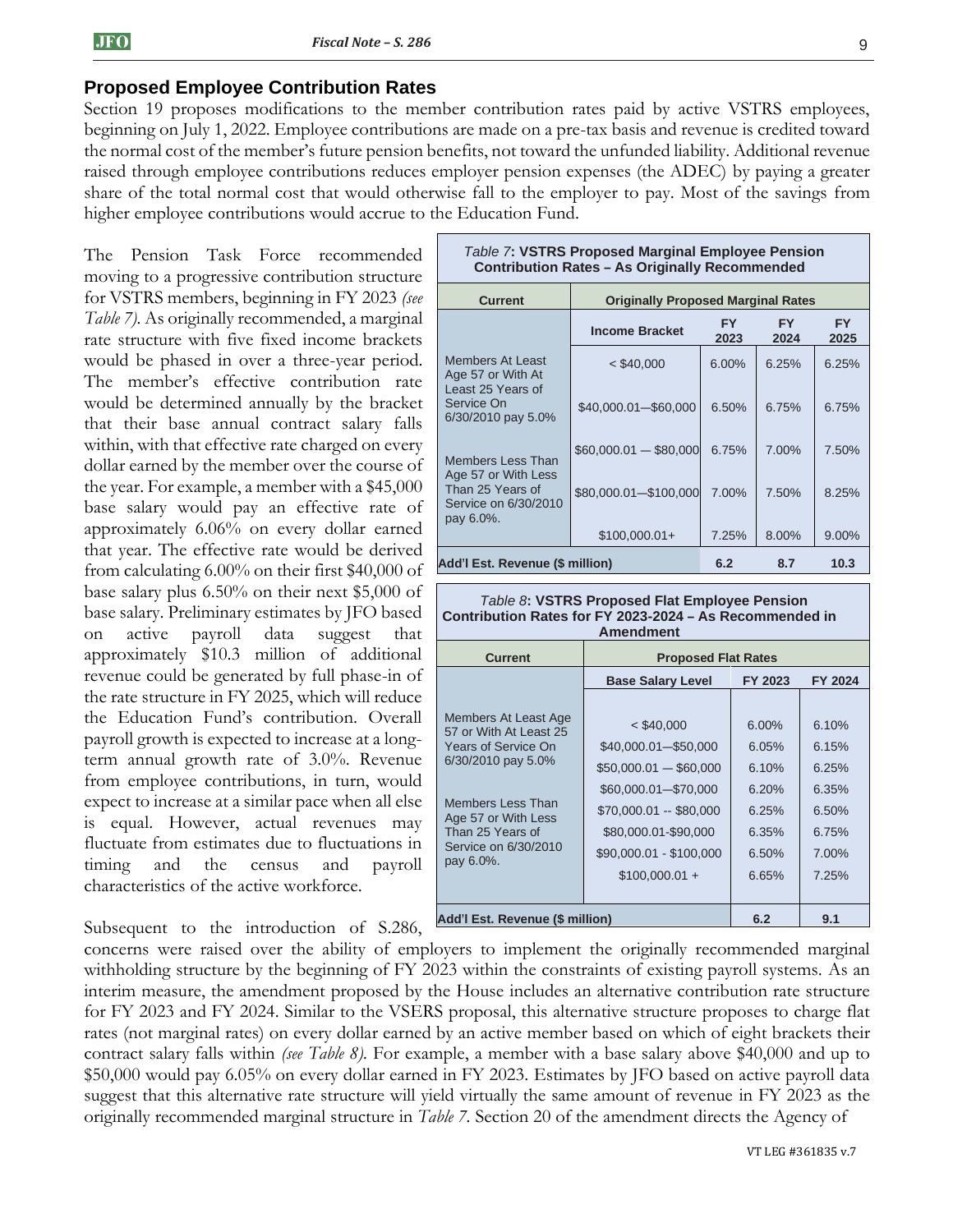#### **Proposed Employee Contribution Rates**

Section 19 proposes modifications to the member contribution rates paid by active VSTRS employees, beginning on July 1, 2022. Employee contributions are made on a pre-tax basis and revenue is credited toward the normal cost of the member's future pension benefits, not toward the unfunded liability. Additional revenue raised through employee contributions reduces employer pension expenses (the ADEC) by paying a greater share of the total normal cost that would otherwise fall to the employer to pay. Most of the savings from higher employee contributions would accrue to the Education Fund.

The Pension Task Force recommended moving to a progressive contribution structure for VSTRS members, beginning in FY 2023 *(see Table 7).* As originally recommended, a marginal rate structure with five fixed income brackets would be phased in over a three-year period. The member's effective contribution rate would be determined annually by the bracket that their base annual contract salary falls within, with that effective rate charged on every dollar earned by the member over the course of the year. For example, a member with a \$45,000 base salary would pay an effective rate of approximately 6.06% on every dollar earned that year. The effective rate would be derived from calculating 6.00% on their first \$40,000 of base salary plus 6.50% on their next \$5,000 of base salary. Preliminary estimates by JFO based on active payroll data suggest that approximately \$10.3 million of additional revenue could be generated by full phase-in of the rate structure in FY 2025, which will reduce the Education Fund's contribution. Overall payroll growth is expected to increase at a longterm annual growth rate of 3.0%. Revenue from employee contributions, in turn, would expect to increase at a similar pace when all else is equal. However, actual revenues may fluctuate from estimates due to fluctuations in timing and the census and payroll characteristics of the active workforce.

Subsequent to the introduction of S.286,

| <b>Table 7: VSTRS Proposed Marginal Employee Pension</b><br><b>Contribution Rates - As Originally Recommended</b> |  |                                           |             |             |                   |  |  |
|-------------------------------------------------------------------------------------------------------------------|--|-------------------------------------------|-------------|-------------|-------------------|--|--|
| <b>Current</b>                                                                                                    |  | <b>Originally Proposed Marginal Rates</b> |             |             |                   |  |  |
|                                                                                                                   |  | <b>Income Bracket</b>                     | FY.<br>2023 | FY.<br>2024 | <b>FY</b><br>2025 |  |  |
| <b>Members At Least</b><br>Age 57 or With At                                                                      |  | $<$ \$40,000                              | 6.00%       | 6.25%       | 6.25%             |  |  |
| Least 25 Years of<br>Service On<br>6/30/2010 pay 5.0%                                                             |  | \$40,000.01-\$60,000                      | 6.50%       | 6.75%       | 6.75%             |  |  |
| <b>Members Less Than</b><br>Age 57 or With Less                                                                   |  | $$60,000.01 - $80,000$                    | 6.75%       | 7.00%       | 7.50%             |  |  |
| Than 25 Years of<br>Service on 6/30/2010<br>pay 6.0%.                                                             |  | \$80,000.01-\$100,000                     | 7.00%       | 7.50%       | 8.25%             |  |  |
|                                                                                                                   |  | $$100,000.01+$                            | 7.25%       | 8.00%       | 9.00%             |  |  |
| Add'l Est. Revenue (\$ million)                                                                                   |  |                                           | 6.2         | 8.7         | 10.3              |  |  |

#### *Table 8***: VSTRS Proposed Flat Employee Pension Contribution Rates for FY 2023-2024 – As Recommended in Amendment**

| <b>Current</b>                                                                                                                                                                                   | <b>Proposed Flat Rates</b>                                                                                                                                                              |                                                                         |                                                                         |  |  |
|--------------------------------------------------------------------------------------------------------------------------------------------------------------------------------------------------|-----------------------------------------------------------------------------------------------------------------------------------------------------------------------------------------|-------------------------------------------------------------------------|-------------------------------------------------------------------------|--|--|
|                                                                                                                                                                                                  | <b>Base Salary Level</b>                                                                                                                                                                | FY 2023                                                                 | <b>FY 2024</b>                                                          |  |  |
| Members At Least Age<br>57 or With At Least 25<br>Years of Service On<br>6/30/2010 pay 5.0%<br>Members Less Than<br>Age 57 or With Less<br>Than 25 Years of<br>Service on 6/30/2010<br>pay 6.0%. | $<$ \$40,000<br>\$40,000.01-\$50,000<br>$$50,000.01 - $60,000$<br>\$60,000.01-\$70,000<br>\$70,000.01 -- \$80,000<br>\$80,000.01-\$90,000<br>\$90,000.01 - \$100,000<br>$$100,000.01 +$ | $6.00\%$<br>6.05%<br>6.10%<br>6,20%<br>6.25%<br>6.35%<br>6.50%<br>6.65% | 6.10%<br>6.15%<br>6.25%<br>6.35%<br>6.50%<br>6.75%<br>$7.00\%$<br>7.25% |  |  |
| Add'l Est. Revenue (\$ million)                                                                                                                                                                  | 6.2                                                                                                                                                                                     | 9.1                                                                     |                                                                         |  |  |

concerns were raised over the ability of employers to implement the originally recommended marginal withholding structure by the beginning of FY 2023 within the constraints of existing payroll systems. As an interim measure, the amendment proposed by the House includes an alternative contribution rate structure for FY 2023 and FY 2024. Similar to the VSERS proposal, this alternative structure proposes to charge flat rates (not marginal rates) on every dollar earned by an active member based on which of eight brackets their contract salary falls within *(see Table 8).* For example, a member with a base salary above \$40,000 and up to \$50,000 would pay 6.05% on every dollar earned in FY 2023. Estimates by JFO based on active payroll data suggest that this alternative rate structure will yield virtually the same amount of revenue in FY 2023 as the originally recommended marginal structure in *Table 7.* Section 20 of the amendment directs the Agency of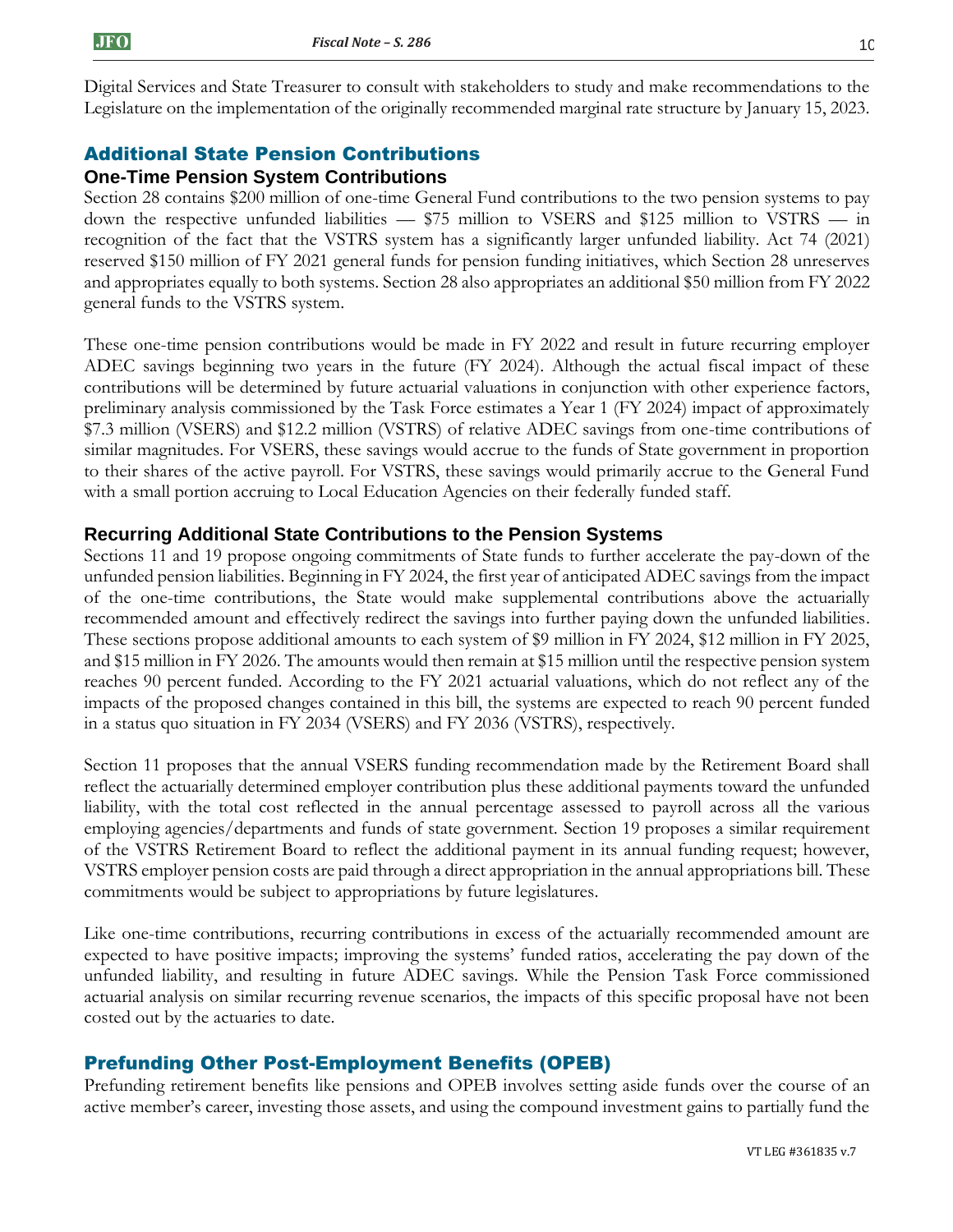Digital Services and State Treasurer to consult with stakeholders to study and make recommendations to the Legislature on the implementation of the originally recommended marginal rate structure by January 15, 2023.

# Additional State Pension Contributions

# **One-Time Pension System Contributions**

Section 28 contains \$200 million of one-time General Fund contributions to the two pension systems to pay down the respective unfunded liabilities — \$75 million to VSERS and \$125 million to VSTRS — in recognition of the fact that the VSTRS system has a significantly larger unfunded liability. Act 74 (2021) reserved \$150 million of FY 2021 general funds for pension funding initiatives, which Section 28 unreserves and appropriates equally to both systems. Section 28 also appropriates an additional \$50 million from FY 2022 general funds to the VSTRS system.

These one-time pension contributions would be made in FY 2022 and result in future recurring employer ADEC savings beginning two years in the future (FY 2024). Although the actual fiscal impact of these contributions will be determined by future actuarial valuations in conjunction with other experience factors, preliminary analysis commissioned by the Task Force estimates a Year 1 (FY 2024) impact of approximately \$7.3 million (VSERS) and \$12.2 million (VSTRS) of relative ADEC savings from one-time contributions of similar magnitudes. For VSERS, these savings would accrue to the funds of State government in proportion to their shares of the active payroll. For VSTRS, these savings would primarily accrue to the General Fund with a small portion accruing to Local Education Agencies on their federally funded staff.

# **Recurring Additional State Contributions to the Pension Systems**

Sections 11 and 19 propose ongoing commitments of State funds to further accelerate the pay-down of the unfunded pension liabilities. Beginning in FY 2024, the first year of anticipated ADEC savings from the impact of the one-time contributions, the State would make supplemental contributions above the actuarially recommended amount and effectively redirect the savings into further paying down the unfunded liabilities. These sections propose additional amounts to each system of \$9 million in FY 2024, \$12 million in FY 2025, and \$15 million in FY 2026. The amounts would then remain at \$15 million until the respective pension system reaches 90 percent funded. According to the FY 2021 actuarial valuations, which do not reflect any of the impacts of the proposed changes contained in this bill, the systems are expected to reach 90 percent funded in a status quo situation in FY 2034 (VSERS) and FY 2036 (VSTRS), respectively.

Section 11 proposes that the annual VSERS funding recommendation made by the Retirement Board shall reflect the actuarially determined employer contribution plus these additional payments toward the unfunded liability, with the total cost reflected in the annual percentage assessed to payroll across all the various employing agencies/departments and funds of state government. Section 19 proposes a similar requirement of the VSTRS Retirement Board to reflect the additional payment in its annual funding request; however, VSTRS employer pension costs are paid through a direct appropriation in the annual appropriations bill. These commitments would be subject to appropriations by future legislatures.

Like one-time contributions, recurring contributions in excess of the actuarially recommended amount are expected to have positive impacts; improving the systems' funded ratios, accelerating the pay down of the unfunded liability, and resulting in future ADEC savings. While the Pension Task Force commissioned actuarial analysis on similar recurring revenue scenarios, the impacts of this specific proposal have not been costed out by the actuaries to date.

# Prefunding Other Post-Employment Benefits (OPEB)

Prefunding retirement benefits like pensions and OPEB involves setting aside funds over the course of an active member's career, investing those assets, and using the compound investment gains to partially fund the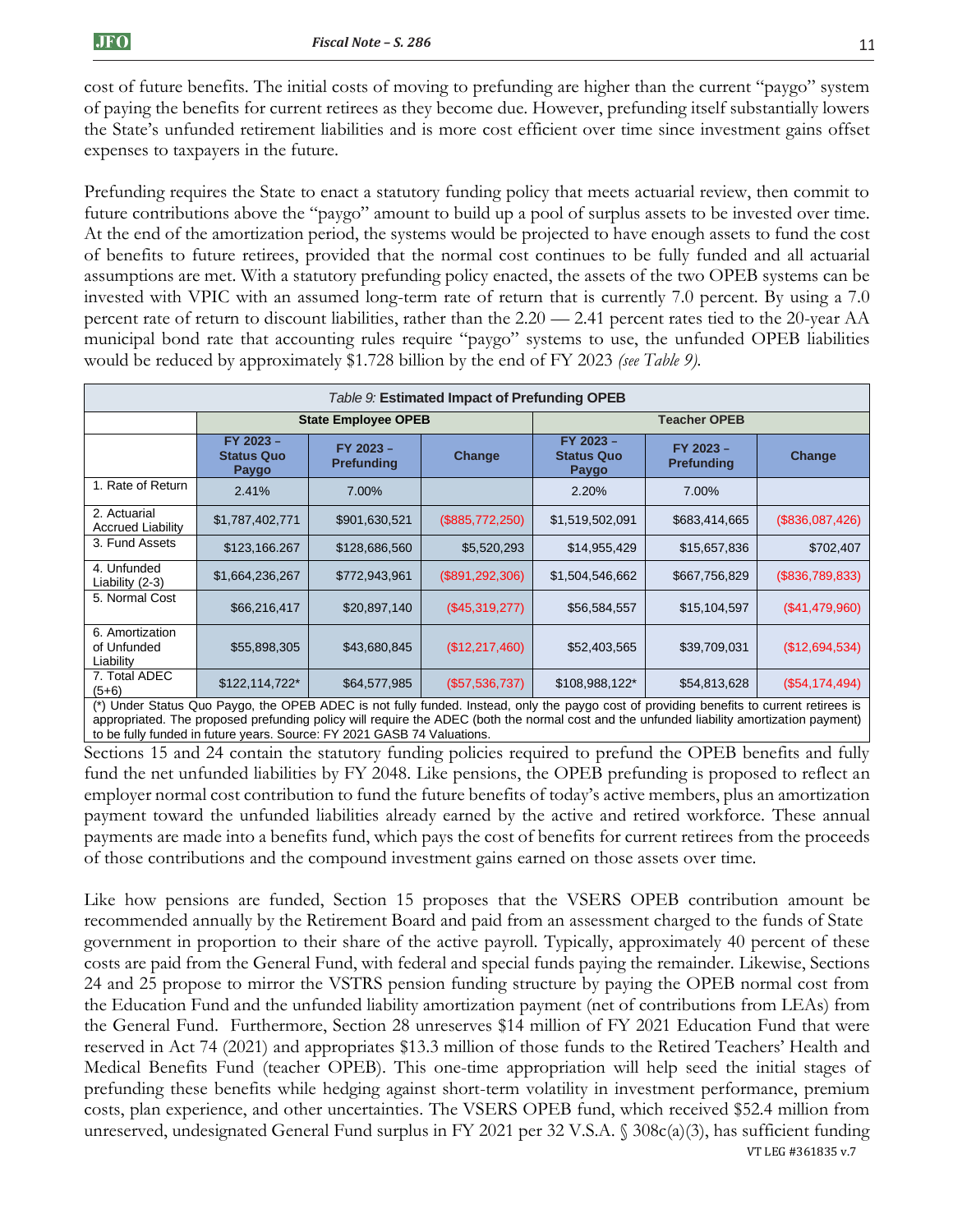cost of future benefits. The initial costs of moving to prefunding are higher than the current "paygo" system of paying the benefits for current retirees as they become due. However, prefunding itself substantially lowers the State's unfunded retirement liabilities and is more cost efficient over time since investment gains offset expenses to taxpayers in the future.

Prefunding requires the State to enact a statutory funding policy that meets actuarial review, then commit to future contributions above the "paygo" amount to build up a pool of surplus assets to be invested over time. At the end of the amortization period, the systems would be projected to have enough assets to fund the cost of benefits to future retirees, provided that the normal cost continues to be fully funded and all actuarial assumptions are met. With a statutory prefunding policy enacted, the assets of the two OPEB systems can be invested with VPIC with an assumed long-term rate of return that is currently 7.0 percent. By using a 7.0 percent rate of return to discount liabilities, rather than the 2.20 — 2.41 percent rates tied to the 20-year AA municipal bond rate that accounting rules require "paygo" systems to use, the unfunded OPEB liabilities would be reduced by approximately \$1.728 billion by the end of FY 2023 *(see Table 9).*

| Table 9: Estimated Impact of Prefunding OPEB |                                         |                                |                   |                                                                                                                                                         |                                |                 |  |
|----------------------------------------------|-----------------------------------------|--------------------------------|-------------------|---------------------------------------------------------------------------------------------------------------------------------------------------------|--------------------------------|-----------------|--|
|                                              |                                         | <b>State Employee OPEB</b>     |                   |                                                                                                                                                         | <b>Teacher OPEB</b>            |                 |  |
|                                              | FY 2023 -<br><b>Status Quo</b><br>Paygo | FY 2023 -<br><b>Prefunding</b> | Change            | FY 2023 -<br><b>Status Quo</b><br>Paygo                                                                                                                 | FY 2023 -<br><b>Prefunding</b> | Change          |  |
| 1. Rate of Return                            | 2.41%                                   | 7.00%                          |                   | 2.20%                                                                                                                                                   | 7.00%                          |                 |  |
| 2. Actuarial<br><b>Accrued Liability</b>     | \$1,787,402,771                         | \$901,630,521                  | (\$885,772,250)   | \$1,519,502,091                                                                                                                                         | \$683,414,665                  | (\$836,087,426) |  |
| 3. Fund Assets                               | \$123,166.267                           | \$128,686,560                  | \$5,520,293       | \$14,955,429                                                                                                                                            | \$15,657,836                   | \$702,407       |  |
| 4. Unfunded<br>Liability (2-3)               | \$1,664,236,267                         | \$772,943,961                  | (\$891, 292, 306) | \$1,504,546,662                                                                                                                                         | \$667,756,829                  | (\$836,789,833) |  |
| 5. Normal Cost                               | \$66,216,417                            | \$20,897,140                   | (\$45,319,277)    | \$56,584,557                                                                                                                                            | \$15,104,597                   | (\$41,479,960)  |  |
| 6. Amortization<br>of Unfunded<br>Liability  | \$55,898,305                            | \$43,680,845                   | (\$12,217,460)    | \$52,403,565                                                                                                                                            | \$39,709,031                   | (\$12,694,534)  |  |
| 7. Total ADEC<br>$(5+6)$                     | \$122,114,722*                          | \$64,577,985                   | (\$57,536,737)    | \$108,988,122*<br>(*) Under Status Quo Pavgo the OPER ADEC is not fully funded Instead only the pavgo cost of providing benefits to current retirees is | \$54,813,628                   | (\$54,174,494)  |  |

(\*) Under Status Quo Paygo, the OPEB ADEC is not fully funded. Instead, only the paygo cost of providing benefits to current retirees is appropriated. The proposed prefunding policy will require the ADEC (both the normal cost and the unfunded liability amortization payment) to be fully funded in future years. Source: FY 2021 GASB 74 Valuations.

Sections 15 and 24 contain the statutory funding policies required to prefund the OPEB benefits and fully fund the net unfunded liabilities by FY 2048. Like pensions, the OPEB prefunding is proposed to reflect an employer normal cost contribution to fund the future benefits of today's active members, plus an amortization payment toward the unfunded liabilities already earned by the active and retired workforce. These annual payments are made into a benefits fund, which pays the cost of benefits for current retirees from the proceeds of those contributions and the compound investment gains earned on those assets over time.

VT LEG #361835 v.7 Like how pensions are funded, Section 15 proposes that the VSERS OPEB contribution amount be recommended annually by the Retirement Board and paid from an assessment charged to the funds of State government in proportion to their share of the active payroll. Typically, approximately 40 percent of these costs are paid from the General Fund, with federal and special funds paying the remainder. Likewise, Sections 24 and 25 propose to mirror the VSTRS pension funding structure by paying the OPEB normal cost from the Education Fund and the unfunded liability amortization payment (net of contributions from LEAs) from the General Fund. Furthermore, Section 28 unreserves \$14 million of FY 2021 Education Fund that were reserved in Act 74 (2021) and appropriates \$13.3 million of those funds to the Retired Teachers' Health and Medical Benefits Fund (teacher OPEB). This one-time appropriation will help seed the initial stages of prefunding these benefits while hedging against short-term volatility in investment performance, premium costs, plan experience, and other uncertainties. The VSERS OPEB fund, which received \$52.4 million from unreserved, undesignated General Fund surplus in FY 2021 per 32 V.S.A. § 308c(a)(3), has sufficient funding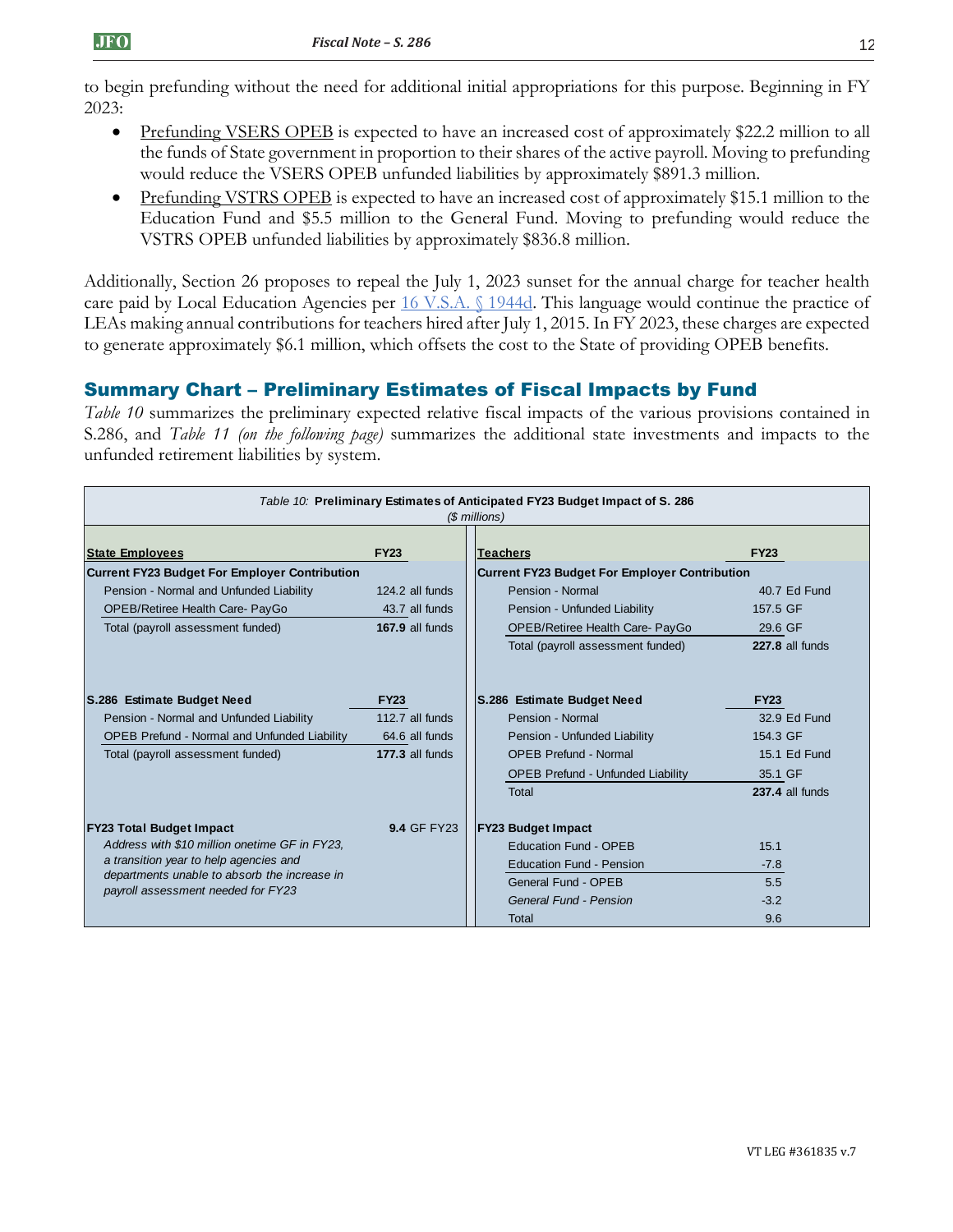to begin prefunding without the need for additional initial appropriations for this purpose. Beginning in FY 2023:

- Prefunding VSERS OPEB is expected to have an increased cost of approximately \$22.2 million to all the funds of State government in proportion to their shares of the active payroll. Moving to prefunding would reduce the VSERS OPEB unfunded liabilities by approximately \$891.3 million.
- Prefunding VSTRS OPEB is expected to have an increased cost of approximately \$15.1 million to the Education Fund and \$5.5 million to the General Fund. Moving to prefunding would reduce the VSTRS OPEB unfunded liabilities by approximately \$836.8 million.

Additionally, Section 26 proposes to repeal the July 1, 2023 sunset for the annual charge for teacher health care paid by Local Education Agencies per [16 V.S.A. §](https://legislature.vermont.gov/statutes/section/16/055/01944d) 1944d. This language would continue the practice of LEAs making annual contributions for teachers hired after July 1, 2015. In FY 2023, these charges are expected to generate approximately \$6.1 million, which offsets the cost to the State of providing OPEB benefits.

# Summary Chart – Preliminary Estimates of Fiscal Impacts by Fund

*Table 10* summarizes the preliminary expected relative fiscal impacts of the various provisions contained in S.286, and *Table 11 (on the following page)* summarizes the additional state investments and impacts to the unfunded retirement liabilities by system.

| Table 10: Preliminary Estimates of Anticipated FY23 Budget Impact of S. 286<br>(\$ millions) |                    |                                                      |                        |  |  |
|----------------------------------------------------------------------------------------------|--------------------|------------------------------------------------------|------------------------|--|--|
| <b>State Employees</b>                                                                       | <b>FY23</b>        | <b>Teachers</b>                                      | <b>FY23</b>            |  |  |
| Current FY23 Budget For Employer Contribution                                                |                    | <b>Current FY23 Budget For Employer Contribution</b> |                        |  |  |
| Pension - Normal and Unfunded Liability                                                      | 124.2 all funds    | Pension - Normal                                     | 40.7 Ed Fund           |  |  |
| OPEB/Retiree Health Care- PayGo                                                              | 43.7 all funds     | Pension - Unfunded Liability                         | 157.5 GF               |  |  |
| Total (payroll assessment funded)                                                            | 167.9 all funds    | OPEB/Retiree Health Care- PayGo                      | 29.6 GF                |  |  |
|                                                                                              |                    | Total (payroll assessment funded)                    | 227.8 all funds        |  |  |
| S.286 Estimate Budget Need                                                                   | <b>FY23</b>        | S.286 Estimate Budget Need                           | <b>FY23</b>            |  |  |
| Pension - Normal and Unfunded Liability                                                      | 112.7 all funds    | Pension - Normal                                     | 32.9 Ed Fund           |  |  |
| <b>OPEB Prefund - Normal and Unfunded Liability</b>                                          | 64.6 all funds     | Pension - Unfunded Liability                         | 154.3 GF               |  |  |
| Total (payroll assessment funded)                                                            | 177.3 all funds    | <b>OPEB Prefund - Normal</b>                         | 15.1 Ed Fund           |  |  |
|                                                                                              |                    | <b>OPEB Prefund - Unfunded Liability</b>             | 35.1 GF                |  |  |
|                                                                                              |                    | Total                                                | <b>237.4 all funds</b> |  |  |
| <b>FY23 Total Budget Impact</b>                                                              | <b>9.4 GF FY23</b> | <b>FY23 Budget Impact</b>                            |                        |  |  |
| Address with \$10 million onetime GF in FY23.                                                |                    | Education Fund - OPEB                                | 15.1                   |  |  |
| a transition year to help agencies and                                                       |                    | <b>Education Fund - Pension</b>                      | $-7.8$                 |  |  |
| departments unable to absorb the increase in<br>payroll assessment needed for FY23           |                    | General Fund - OPEB                                  | 5.5                    |  |  |
|                                                                                              |                    | General Fund - Pension                               | $-3.2$                 |  |  |
|                                                                                              |                    | Total                                                | 9.6                    |  |  |